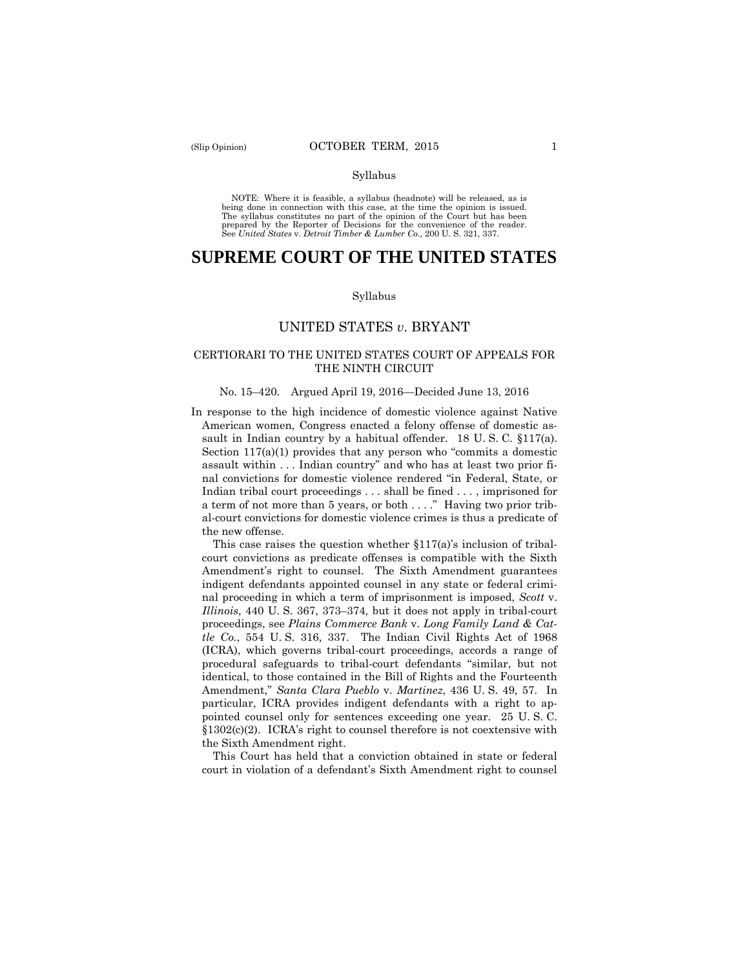#### Syllabus

 NOTE: Where it is feasible, a syllabus (headnote) will be released, as is being done in connection with this case, at the time the opinion is issued. The syllabus constitutes no part of the opinion of the Court but has been<br>prepared by the Reporter of Decisions for the convenience of the reader.<br>See United States v. Detroit Timber & Lumber Co., 200 U. S. 321, 337.

# **SUPREME COURT OF THE UNITED STATES**

#### Syllabus

# UNITED STATES *v*. BRYANT

# CERTIORARI TO THE UNITED STATES COURT OF APPEALS FOR THE NINTH CIRCUIT

#### No. 15–420. Argued April 19, 2016—Decided June 13, 2016

In response to the high incidence of domestic violence against Native American women, Congress enacted a felony offense of domestic assault in Indian country by a habitual offender. 18 U. S. C. §117(a). Section 117(a)(1) provides that any person who "commits a domestic assault within . . . Indian country" and who has at least two prior final convictions for domestic violence rendered "in Federal, State, or Indian tribal court proceedings . . . shall be fined . . . , imprisoned for a term of not more than 5 years, or both . . . ." Having two prior tribal-court convictions for domestic violence crimes is thus a predicate of the new offense.

This case raises the question whether  $$117(a)$s}$  inclusion of tribalcourt convictions as predicate offenses is compatible with the Sixth Amendment's right to counsel. The Sixth Amendment guarantees indigent defendants appointed counsel in any state or federal criminal proceeding in which a term of imprisonment is imposed, *Scott* v. *Illinois*, 440 U. S. 367, 373–374, but it does not apply in tribal-court proceedings, see *Plains Commerce Bank* v. *Long Family Land & Cattle Co.*, 554 U. S. 316, 337. The Indian Civil Rights Act of 1968 (ICRA), which governs tribal-court proceedings, accords a range of procedural safeguards to tribal-court defendants "similar, but not identical, to those contained in the Bill of Rights and the Fourteenth Amendment," *Santa Clara Pueblo* v. *Martinez*, 436 U. S. 49, 57. In particular, ICRA provides indigent defendants with a right to appointed counsel only for sentences exceeding one year. 25 U. S. C. §1302(c)(2). ICRA's right to counsel therefore is not coextensive with the Sixth Amendment right.

This Court has held that a conviction obtained in state or federal court in violation of a defendant's Sixth Amendment right to counsel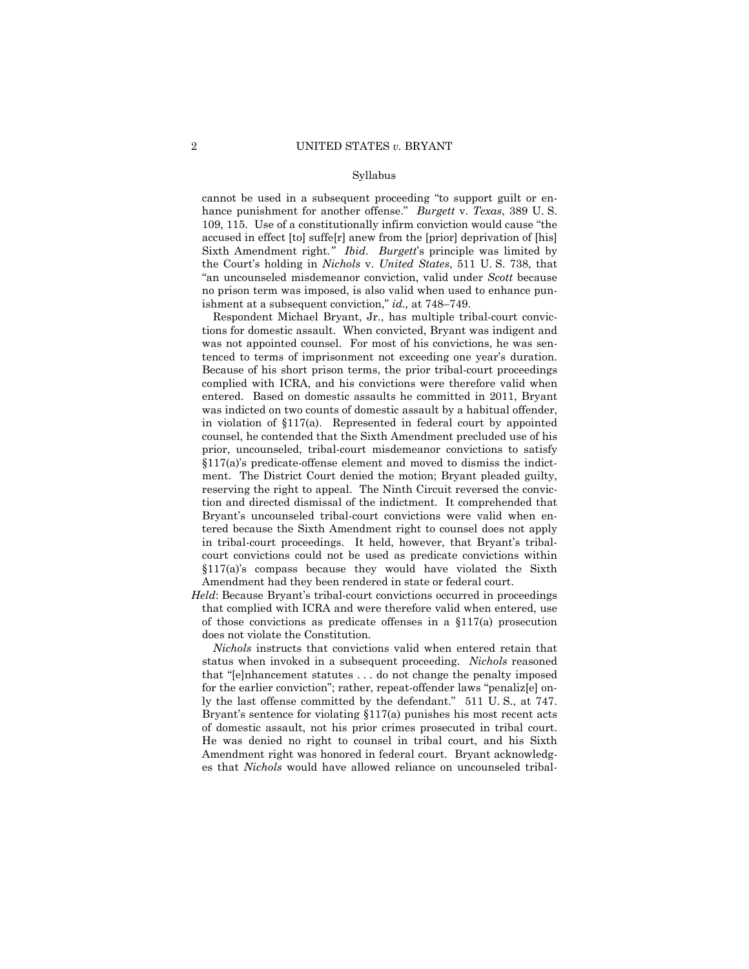#### Syllabus

 Sixth Amendment right*." Ibid*. *Burgett*'s principle was limited by cannot be used in a subsequent proceeding "to support guilt or enhance punishment for another offense." *Burgett* v. *Texas*, 389 U. S. 109, 115. Use of a constitutionally infirm conviction would cause "the accused in effect [to] suffe[r] anew from the [prior] deprivation of [his] the Court's holding in *Nichols* v. *United States*, 511 U. S. 738, that "an uncounseled misdemeanor conviction, valid under *Scott* because no prison term was imposed, is also valid when used to enhance punishment at a subsequent conviction," *id.,* at 748–749.

 tions for domestic assault. When convicted, Bryant was indigent and prior, uncounseled, tribal-court misdemeanor convictions to satisfy Respondent Michael Bryant, Jr., has multiple tribal-court convicwas not appointed counsel. For most of his convictions, he was sentenced to terms of imprisonment not exceeding one year's duration. Because of his short prison terms, the prior tribal-court proceedings complied with ICRA, and his convictions were therefore valid when entered. Based on domestic assaults he committed in 2011, Bryant was indicted on two counts of domestic assault by a habitual offender, in violation of §117(a). Represented in federal court by appointed counsel, he contended that the Sixth Amendment precluded use of his §117(a)'s predicate-offense element and moved to dismiss the indictment. The District Court denied the motion; Bryant pleaded guilty, reserving the right to appeal. The Ninth Circuit reversed the conviction and directed dismissal of the indictment. It comprehended that Bryant's uncounseled tribal-court convictions were valid when entered because the Sixth Amendment right to counsel does not apply in tribal-court proceedings. It held, however, that Bryant's tribalcourt convictions could not be used as predicate convictions within §117(a)'s compass because they would have violated the Sixth Amendment had they been rendered in state or federal court.

*Held*: Because Bryant's tribal-court convictions occurred in proceedings that complied with ICRA and were therefore valid when entered, use of those convictions as predicate offenses in a §117(a) prosecution does not violate the Constitution.

ly the last offense committed by the defendant." 511 U.S., at 747. *Nichols* instructs that convictions valid when entered retain that status when invoked in a subsequent proceeding. *Nichols* reasoned that "[e]nhancement statutes . . . do not change the penalty imposed for the earlier conviction"; rather, repeat-offender laws "penaliz[e] on-Bryant's sentence for violating  $\S117(a)$  punishes his most recent acts of domestic assault, not his prior crimes prosecuted in tribal court. He was denied no right to counsel in tribal court, and his Sixth Amendment right was honored in federal court. Bryant acknowledges that *Nichols* would have allowed reliance on uncounseled tribal-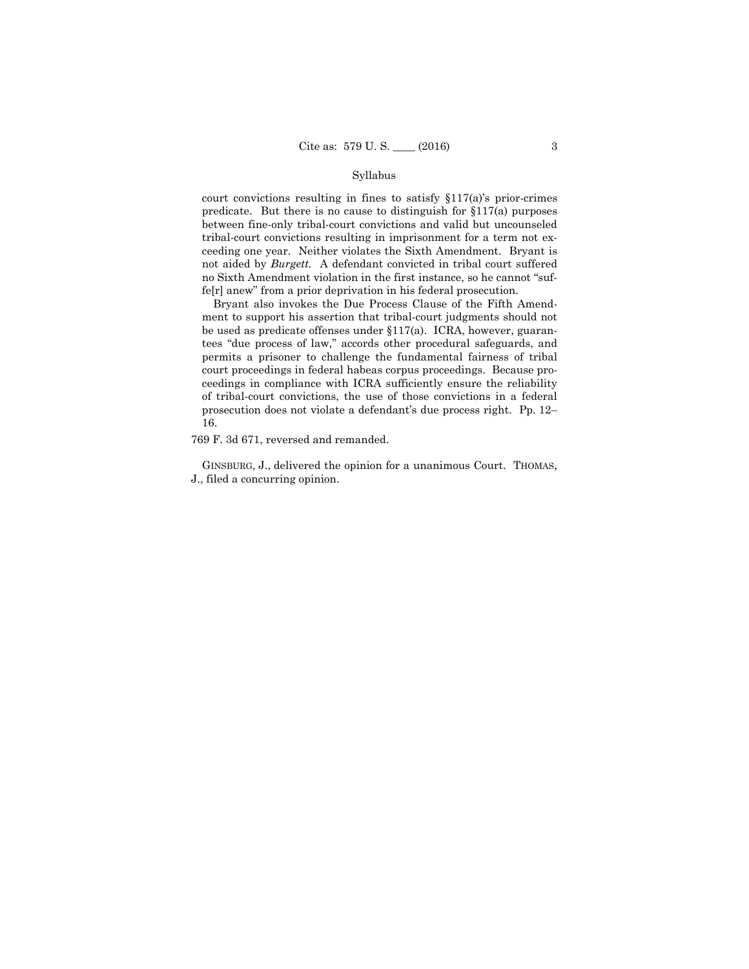#### Syllabus

court convictions resulting in fines to satisfy §117(a)'s prior-crimes predicate. But there is no cause to distinguish for §117(a) purposes between fine-only tribal-court convictions and valid but uncounseled tribal-court convictions resulting in imprisonment for a term not exceeding one year. Neither violates the Sixth Amendment. Bryant is not aided by *Burgett.* A defendant convicted in tribal court suffered no Sixth Amendment violation in the first instance, so he cannot "suffe[r] anew" from a prior deprivation in his federal prosecution.

Bryant also invokes the Due Process Clause of the Fifth Amendment to support his assertion that tribal-court judgments should not be used as predicate offenses under §117(a). ICRA, however, guarantees "due process of law," accords other procedural safeguards, and permits a prisoner to challenge the fundamental fairness of tribal court proceedings in federal habeas corpus proceedings. Because proceedings in compliance with ICRA sufficiently ensure the reliability of tribal-court convictions, the use of those convictions in a federal prosecution does not violate a defendant's due process right. Pp. 12– 16.

769 F. 3d 671, reversed and remanded.

 GINSBURG, J., delivered the opinion for a unanimous Court. THOMAS, J., filed a concurring opinion.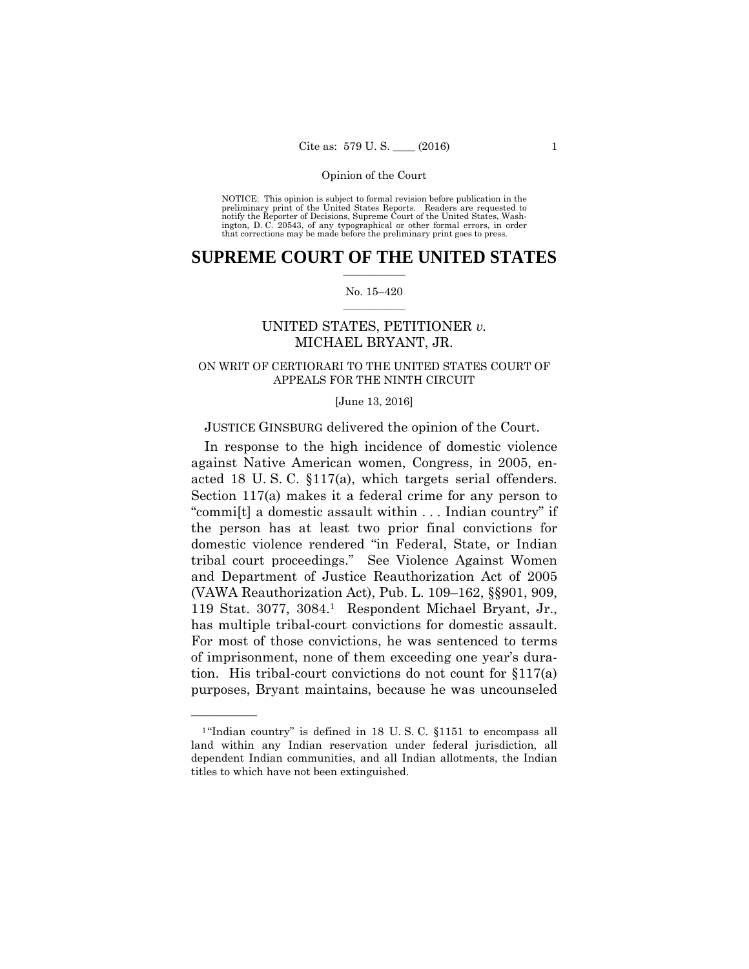preliminary print of the United States Reports. Readers are requested to notify the Reporter of Decisions, Supreme Court of the United States, Wash- ington, D. C. 20543, of any typographical or other formal errors, in order that corrections may be made before the preliminary print goes to press. NOTICE: This opinion is subject to formal revision before publication in the

# $\frac{1}{2}$  ,  $\frac{1}{2}$  ,  $\frac{1}{2}$  ,  $\frac{1}{2}$  ,  $\frac{1}{2}$  ,  $\frac{1}{2}$  ,  $\frac{1}{2}$ **SUPREME COURT OF THE UNITED STATES**

#### $\frac{1}{2}$  ,  $\frac{1}{2}$  ,  $\frac{1}{2}$  ,  $\frac{1}{2}$  ,  $\frac{1}{2}$  ,  $\frac{1}{2}$ No. 15–420

# UNITED STATES, PETITIONER *v.*  MICHAEL BRYANT, JR.

# ON WRIT OF CERTIORARI TO THE UNITED STATES COURT OF APPEALS FOR THE NINTH CIRCUIT

#### [June 13, 2016]

# JUSTICE GINSBURG delivered the opinion of the Court.

 acted 18 U. S. C. §117(a), which targets serial offenders. In response to the high incidence of domestic violence against Native American women, Congress, in 2005, en-Section 117(a) makes it a federal crime for any person to "commi[t] a domestic assault within . . . Indian country" if the person has at least two prior final convictions for domestic violence rendered "in Federal, State, or Indian tribal court proceedings." See Violence Against Women and Department of Justice Reauthorization Act of 2005 (VAWA Reauthorization Act), Pub. L. 109–162, §§901, 909, 119 Stat. 3077, 3084.1 Respondent Michael Bryant, Jr., has multiple tribal-court convictions for domestic assault. For most of those convictions, he was sentenced to terms of imprisonment, none of them exceeding one year's duration. His tribal-court convictions do not count for §117(a) purposes, Bryant maintains, because he was uncounseled

 $1$ "Indian country" is defined in 18 U.S.C. §1151 to encompass all land within any Indian reservation under federal jurisdiction, all dependent Indian communities, and all Indian allotments, the Indian titles to which have not been extinguished.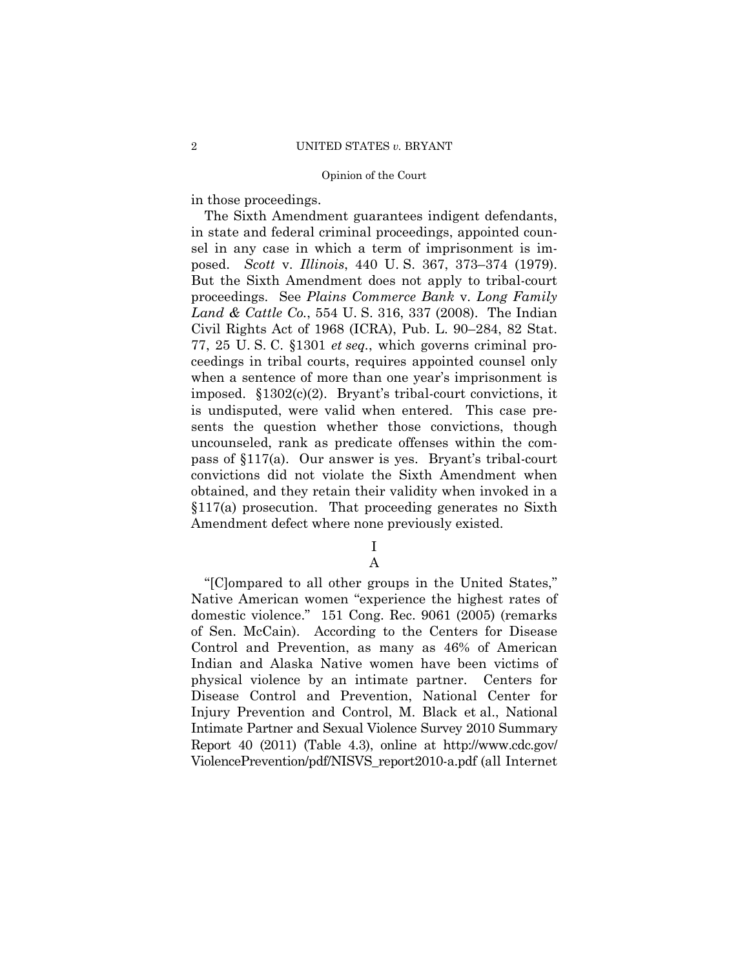in those proceedings.

The Sixth Amendment guarantees indigent defendants, in state and federal criminal proceedings, appointed counsel in any case in which a term of imprisonment is imposed. *Scott* v. *Illinois*, 440 U. S. 367, 373–374 (1979). But the Sixth Amendment does not apply to tribal-court proceedings. See *Plains Commerce Bank* v. *Long Family Land & Cattle Co.*, 554 U. S. 316, 337 (2008). The Indian Civil Rights Act of 1968 (ICRA), Pub. L. 90–284, 82 Stat. 77, 25 U. S. C. §1301 *et seq.*, which governs criminal proceedings in tribal courts, requires appointed counsel only when a sentence of more than one year's imprisonment is imposed. §1302(c)(2). Bryant's tribal-court convictions, it is undisputed, were valid when entered. This case presents the question whether those convictions, though uncounseled, rank as predicate offenses within the compass of §117(a). Our answer is yes. Bryant's tribal-court convictions did not violate the Sixth Amendment when obtained, and they retain their validity when invoked in a §117(a) prosecution. That proceeding generates no Sixth Amendment defect where none previously existed.

I

A

 ViolencePrevention/pdf/NISVS\_report2010-a.pdf (all Internet "[C]ompared to all other groups in the United States," Native American women "experience the highest rates of domestic violence." 151 Cong. Rec. 9061 (2005) (remarks of Sen. McCain). According to the Centers for Disease Control and Prevention, as many as 46% of American Indian and Alaska Native women have been victims of physical violence by an intimate partner. Centers for Disease Control and Prevention, National Center for Injury Prevention and Control, M. Black et al., National Intimate Partner and Sexual Violence Survey 2010 Summary Report 40 (2011) (Table 4.3), online at http://www.cdc.gov/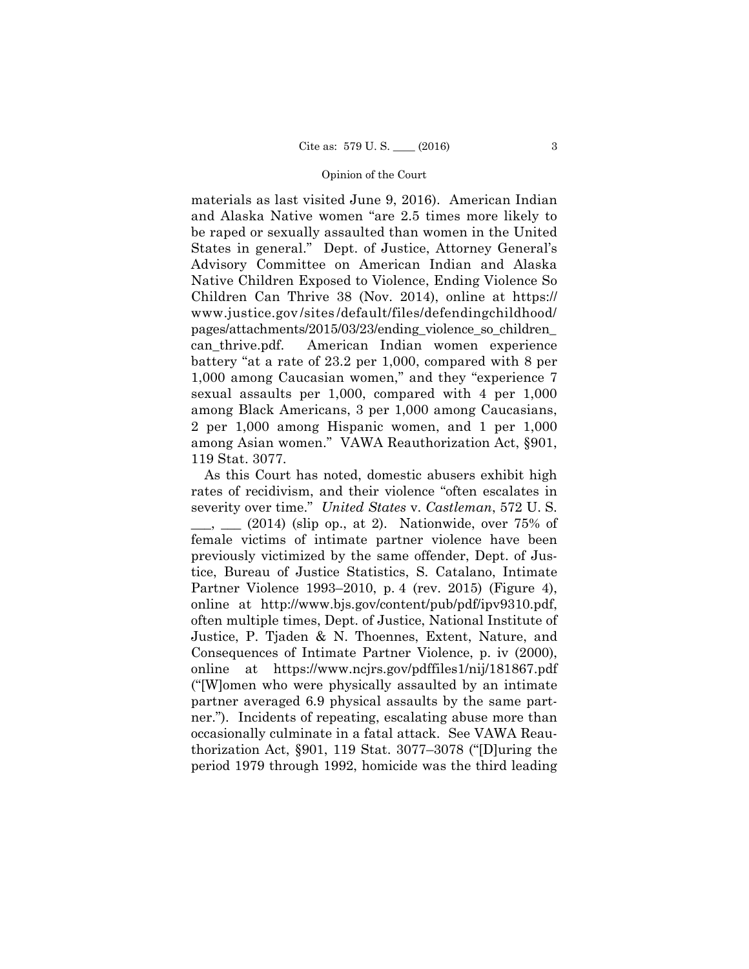battery "at a rate of 23.2 per 1,000, compared with 8 per materials as last visited June 9, 2016). American Indian and Alaska Native women "are 2.5 times more likely to be raped or sexually assaulted than women in the United States in general." Dept. of Justice, Attorney General's Advisory Committee on American Indian and Alaska Native Children Exposed to Violence, Ending Violence So Children Can Thrive 38 (Nov. 2014), online at https:// www.justice.gov /sites /default/files/defendingchildhood/ pages/attachments/2015/03/23/ending\_violence\_so\_children\_ can\_thrive.pdf. American Indian women experience 1,000 among Caucasian women," and they "experience 7 sexual assaults per 1,000, compared with 4 per 1,000 among Black Americans, 3 per 1,000 among Caucasians, 2 per 1,000 among Hispanic women, and 1 per 1,000 among Asian women." VAWA Reauthorization Act, §901, 119 Stat. 3077.

As this Court has noted, domestic abusers exhibit high rates of recidivism, and their violence "often escalates in severity over time." *United States* v. *Castleman*, 572 U. S.  $\frac{1}{2}$ ,  $\frac{1}{2014}$  (slip op., at 2). Nationwide, over 75% of female victims of intimate partner violence have been previously victimized by the same offender, Dept. of Justice, Bureau of Justice Statistics, S. Catalano, Intimate Partner Violence 1993–2010, p. 4 (rev. 2015) (Figure 4), online at http://www.bjs.gov/content/pub/pdf/ipv9310.pdf, often multiple times, Dept. of Justice, National Institute of Justice, P. Tjaden & N. Thoennes, Extent, Nature, and Consequences of Intimate Partner Violence, p. iv (2000), online at https://www.ncjrs.gov/pdffiles1/nij/181867.pdf ("[W]omen who were physically assaulted by an intimate partner averaged 6.9 physical assaults by the same partner."). Incidents of repeating, escalating abuse more than occasionally culminate in a fatal attack. See VAWA Reauthorization Act, §901, 119 Stat. 3077–3078 ("[D]uring the period 1979 through 1992, homicide was the third leading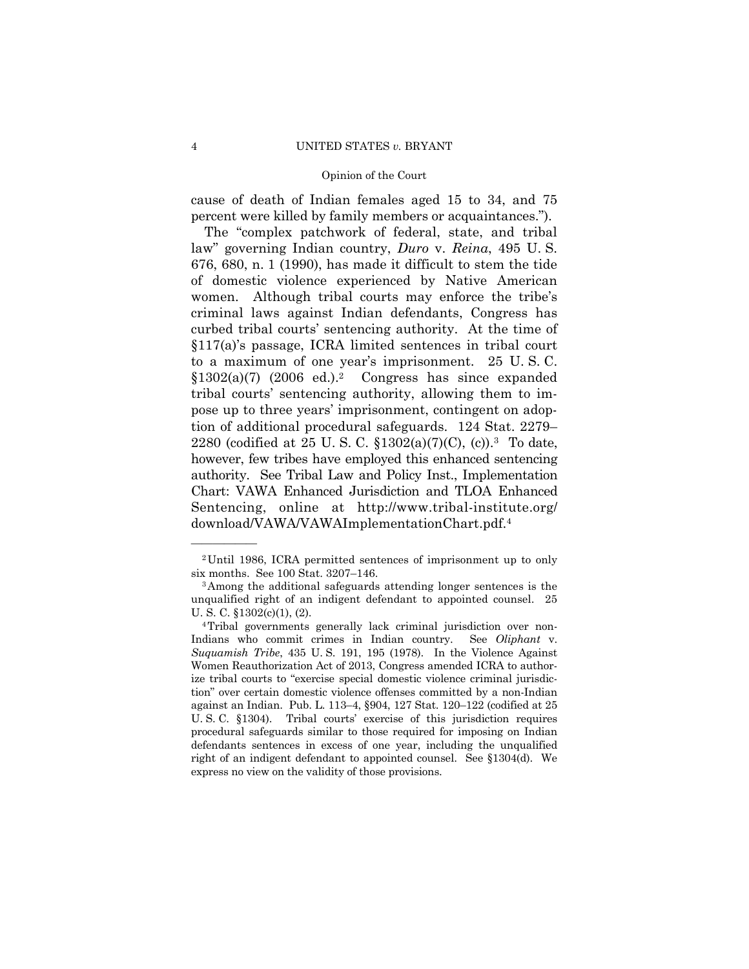cause of death of Indian females aged 15 to 34, and 75 percent were killed by family members or acquaintances.").

2280 (codified at 25 U.S.C.  $$1302(a)(7)(C), (c).$ <sup>3</sup> To date, The "complex patchwork of federal, state, and tribal law" governing Indian country, *Duro* v. *Reina*, 495 U. S. 676, 680, n. 1 (1990), has made it difficult to stem the tide of domestic violence experienced by Native American women. Although tribal courts may enforce the tribe's criminal laws against Indian defendants, Congress has curbed tribal courts' sentencing authority. At the time of §117(a)'s passage, ICRA limited sentences in tribal court to a maximum of one year's imprisonment. 25 U. S. C.  $$1302(a)(7)$  (2006 ed.).<sup>2</sup> Congress has since expanded tribal courts' sentencing authority, allowing them to impose up to three years' imprisonment, contingent on adoption of additional procedural safeguards. 124 Stat. 2279– however, few tribes have employed this enhanced sentencing authority. See Tribal Law and Policy Inst., Implementation Chart: VAWA Enhanced Jurisdiction and TLOA Enhanced Sentencing, online at http://www.tribal-institute.org/ download/VAWA/VAWAImplementationChart.pdf.4

<sup>2</sup>Until 1986, ICRA permitted sentences of imprisonment up to only six months. See 100 Stat. 3207–146.<br><sup>3</sup>Among the additional safeguards attending longer sentences is the

unqualified right of an indigent defendant to appointed counsel. 25 U. S. C. §1302(c)(1), (2).

 Women Reauthorization Act of 2013, Congress amended ICRA to author- U. S. C. §1304). Tribal courts' exercise of this jurisdiction requires 4Tribal governments generally lack criminal jurisdiction over non-Indians who commit crimes in Indian country. See *Oliphant* v. *Suquamish Tribe*, 435 U. S. 191, 195 (1978). In the Violence Against ize tribal courts to "exercise special domestic violence criminal jurisdiction" over certain domestic violence offenses committed by a non-Indian against an Indian. Pub. L. 113–4, §904, 127 Stat. 120–122 (codified at 25 procedural safeguards similar to those required for imposing on Indian defendants sentences in excess of one year, including the unqualified right of an indigent defendant to appointed counsel. See §1304(d). We express no view on the validity of those provisions.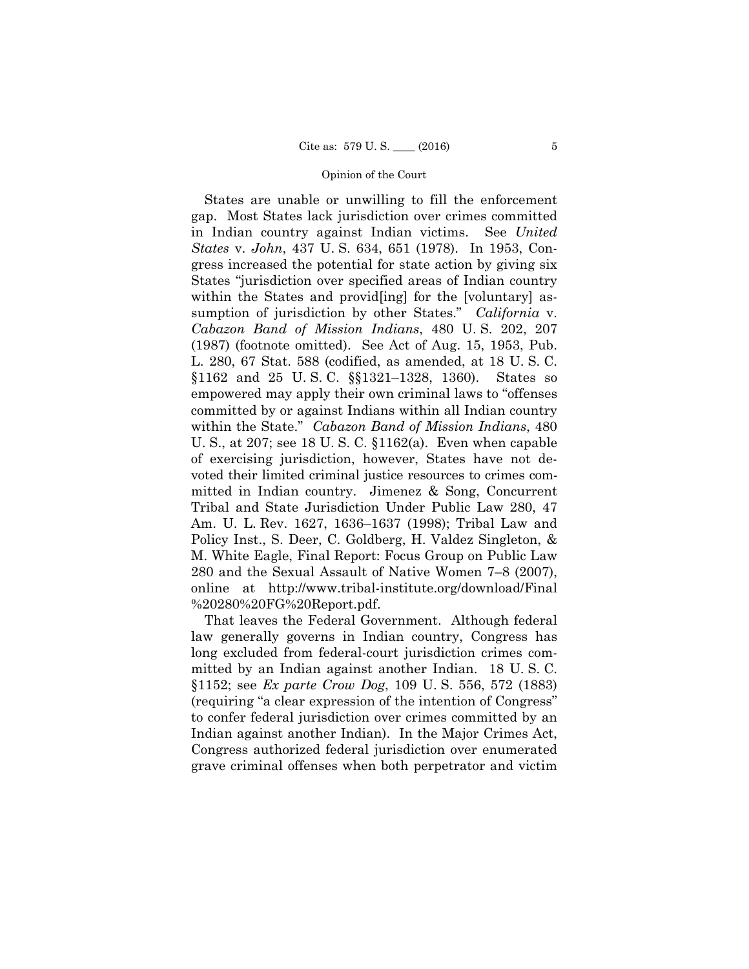States are unable or unwilling to fill the enforcement gap. Most States lack jurisdiction over crimes committed in Indian country against Indian victims. See *United States* v. *John*, 437 U. S. 634, 651 (1978). In 1953, Congress increased the potential for state action by giving six States "jurisdiction over specified areas of Indian country within the States and provides and  $[word]$  for the [voluntary] assumption of jurisdiction by other States." *California* v. *Cabazon Band of Mission Indians*, 480 U. S. 202, 207 (1987) (footnote omitted). See Act of Aug. 15, 1953, Pub. L. 280, 67 Stat. 588 (codified, as amended, at 18 U. S. C. §1162 and 25 U. S. C. §§1321–1328, 1360). States so empowered may apply their own criminal laws to "offenses committed by or against Indians within all Indian country within the State." *Cabazon Band of Mission Indians*, 480 U. S., at 207; see 18 U. S. C. §1162(a). Even when capable of exercising jurisdiction, however, States have not devoted their limited criminal justice resources to crimes committed in Indian country. Jimenez & Song, Concurrent Tribal and State Jurisdiction Under Public Law 280, 47 Am. U. L. Rev. 1627, 1636–1637 (1998); Tribal Law and Policy Inst., S. Deer, C. Goldberg, H. Valdez Singleton, & M. White Eagle, Final Report: Focus Group on Public Law 280 and the Sexual Assault of Native Women 7–8 (2007), online at http://www.tribal-institute.org/download/Final %20280%20FG%20Report.pdf.

That leaves the Federal Government. Although federal law generally governs in Indian country, Congress has long excluded from federal-court jurisdiction crimes committed by an Indian against another Indian. 18 U. S. C. §1152; see *Ex parte Crow Dog*, 109 U. S. 556, 572 (1883) (requiring "a clear expression of the intention of Congress" to confer federal jurisdiction over crimes committed by an Indian against another Indian). In the Major Crimes Act, Congress authorized federal jurisdiction over enumerated grave criminal offenses when both perpetrator and victim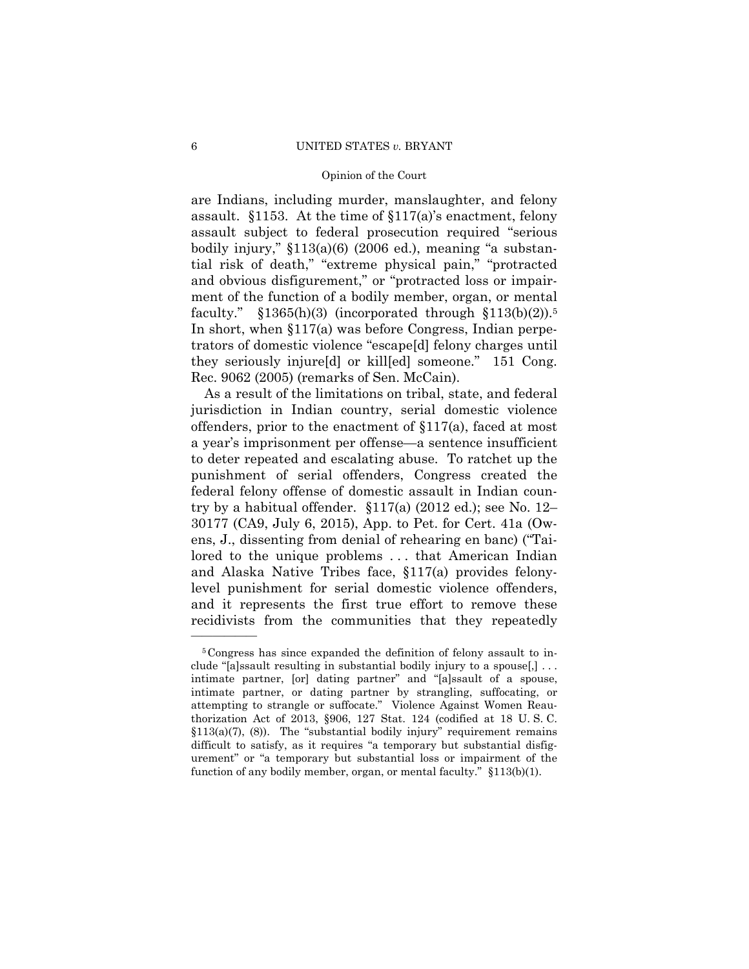faculty."  $$1365(h)(3)$  (incorporated through  $$113(b)(2)$ ).<sup>5</sup> are Indians, including murder, manslaughter, and felony assault. §1153. At the time of §117(a)'s enactment, felony assault subject to federal prosecution required "serious bodily injury," §113(a)(6) (2006 ed.), meaning "a substantial risk of death," "extreme physical pain," "protracted and obvious disfigurement," or "protracted loss or impairment of the function of a bodily member, organ, or mental In short, when §117(a) was before Congress, Indian perpetrators of domestic violence "escape[d] felony charges until they seriously injure[d] or kill[ed] someone." 151 Cong. Rec. 9062 (2005) (remarks of Sen. McCain).

As a result of the limitations on tribal, state, and federal jurisdiction in Indian country, serial domestic violence offenders, prior to the enactment of §117(a), faced at most a year's imprisonment per offense—a sentence insufficient to deter repeated and escalating abuse. To ratchet up the punishment of serial offenders, Congress created the federal felony offense of domestic assault in Indian country by a habitual offender. §117(a) (2012 ed.); see No. 12– 30177 (CA9, July 6, 2015), App. to Pet. for Cert. 41a (Owens, J., dissenting from denial of rehearing en banc) ("Tailored to the unique problems ... that American Indian and Alaska Native Tribes face, §117(a) provides felonylevel punishment for serial domestic violence offenders, and it represents the first true effort to remove these recidivists from the communities that they repeatedly

<sup>5</sup>Congress has since expanded the definition of felony assault to include "[a]ssault resulting in substantial bodily injury to a spouse[,] . . . intimate partner, [or] dating partner" and "[a]ssault of a spouse, intimate partner, or dating partner by strangling, suffocating, or attempting to strangle or suffocate." Violence Against Women Reauthorization Act of 2013, §906, 127 Stat. 124 (codified at 18 U. S. C.  $$113(a)(7), (8)$ . The "substantial bodily injury" requirement remains difficult to satisfy, as it requires "a temporary but substantial disfigurement" or "a temporary but substantial loss or impairment of the function of any bodily member, organ, or mental faculty." §113(b)(1).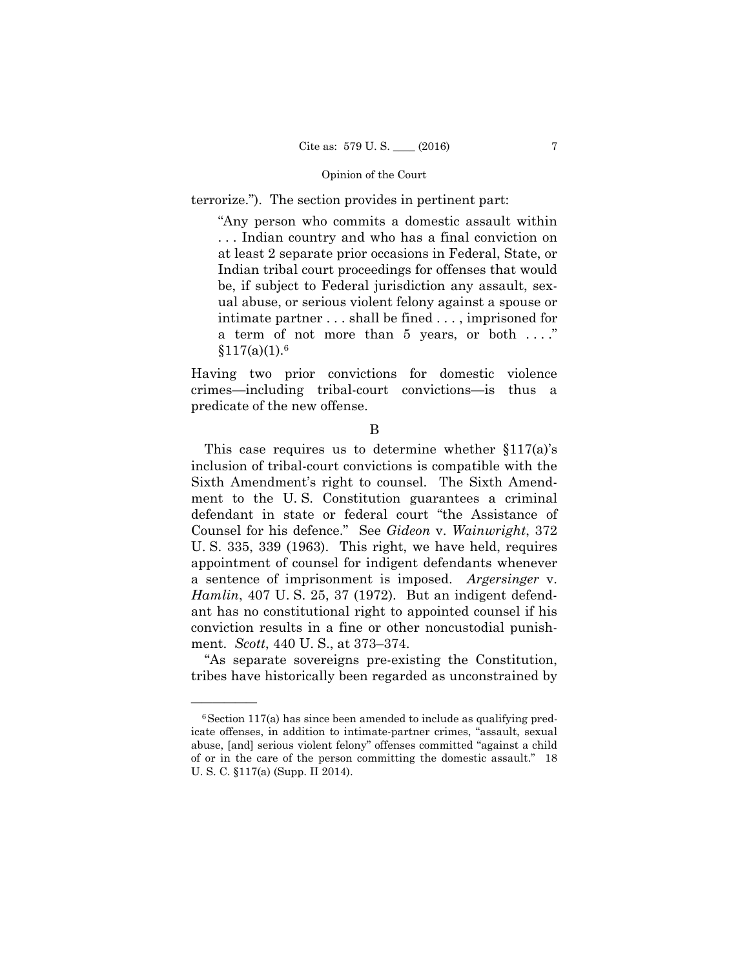terrorize."). The section provides in pertinent part:

"Any person who commits a domestic assault within . . . Indian country and who has a final conviction on at least 2 separate prior occasions in Federal, State, or Indian tribal court proceedings for offenses that would be, if subject to Federal jurisdiction any assault, sexual abuse, or serious violent felony against a spouse or intimate partner . . . shall be fined . . . , imprisoned for a term of not more than 5 years, or both . . . ."  $$117(a)(1).6$ 

Having two prior convictions for domestic violence crimes—including tribal-court convictions—is thus a predicate of the new offense.

B

This case requires us to determine whether  $$117(a)$s$ inclusion of tribal-court convictions is compatible with the Sixth Amendment's right to counsel. The Sixth Amendment to the U. S. Constitution guarantees a criminal defendant in state or federal court "the Assistance of Counsel for his defence." See *Gideon* v. *Wainwright*, 372 U. S. 335, 339 (1963). This right, we have held, requires appointment of counsel for indigent defendants whenever a sentence of imprisonment is imposed. *Argersinger* v. *Hamlin*, 407 U. S. 25, 37 (1972). But an indigent defendant has no constitutional right to appointed counsel if his conviction results in a fine or other noncustodial punishment. *Scott*, 440 U. S., at 373–374.

"As separate sovereigns pre-existing the Constitution, tribes have historically been regarded as unconstrained by

 $6$ Section 117(a) has since been amended to include as qualifying predicate offenses, in addition to intimate-partner crimes, "assault, sexual abuse, [and] serious violent felony" offenses committed "against a child of or in the care of the person committing the domestic assault." 18 U. S. C. §117(a) (Supp. II 2014).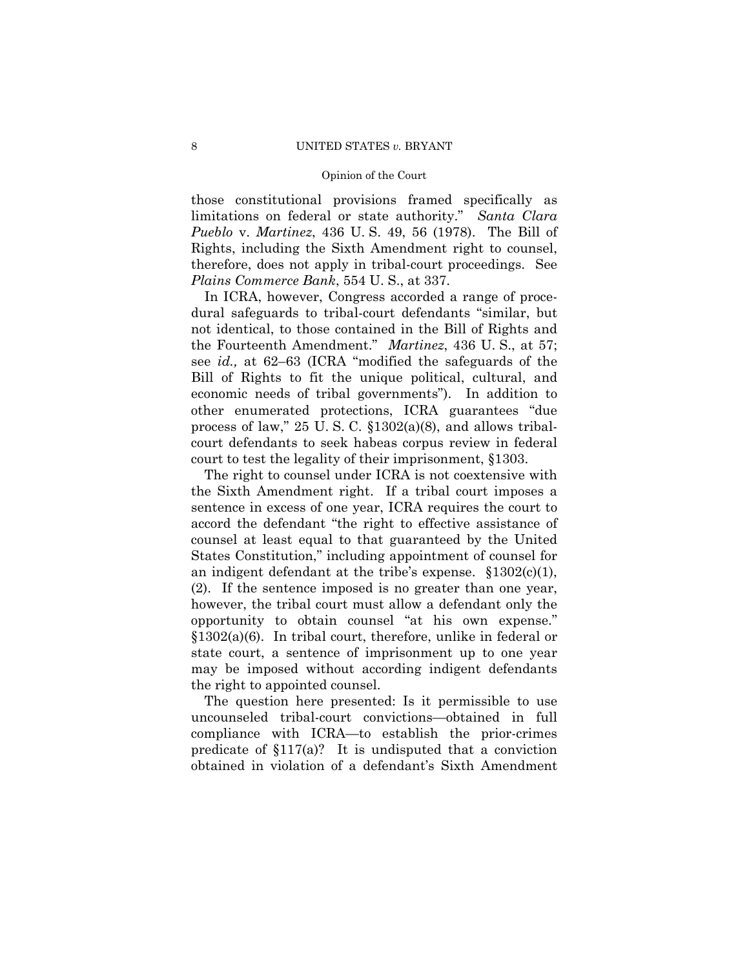those constitutional provisions framed specifically as limitations on federal or state authority." *Santa Clara Pueblo* v. *Martinez*, 436 U. S. 49, 56 (1978). The Bill of Rights, including the Sixth Amendment right to counsel, therefore, does not apply in tribal-court proceedings. See *Plains Commerce Bank*, 554 U. S., at 337.

In ICRA, however, Congress accorded a range of procedural safeguards to tribal-court defendants "similar, but not identical, to those contained in the Bill of Rights and the Fourteenth Amendment." *Martinez*, 436 U. S., at 57; see *id.,* at 62–63 (ICRA "modified the safeguards of the Bill of Rights to fit the unique political, cultural, and economic needs of tribal governments"). In addition to other enumerated protections, ICRA guarantees "due process of law," 25 U. S. C. §1302(a)(8), and allows tribalcourt defendants to seek habeas corpus review in federal court to test the legality of their imprisonment, §1303.

The right to counsel under ICRA is not coextensive with the Sixth Amendment right. If a tribal court imposes a sentence in excess of one year, ICRA requires the court to accord the defendant "the right to effective assistance of counsel at least equal to that guaranteed by the United States Constitution," including appointment of counsel for an indigent defendant at the tribe's expense. §1302(c)(1), (2). If the sentence imposed is no greater than one year, however, the tribal court must allow a defendant only the opportunity to obtain counsel "at his own expense." §1302(a)(6). In tribal court, therefore, unlike in federal or state court, a sentence of imprisonment up to one year may be imposed without according indigent defendants the right to appointed counsel.

The question here presented: Is it permissible to use uncounseled tribal-court convictions—obtained in full compliance with ICRA—to establish the prior-crimes predicate of  $$117(a)$ ? It is undisputed that a conviction obtained in violation of a defendant's Sixth Amendment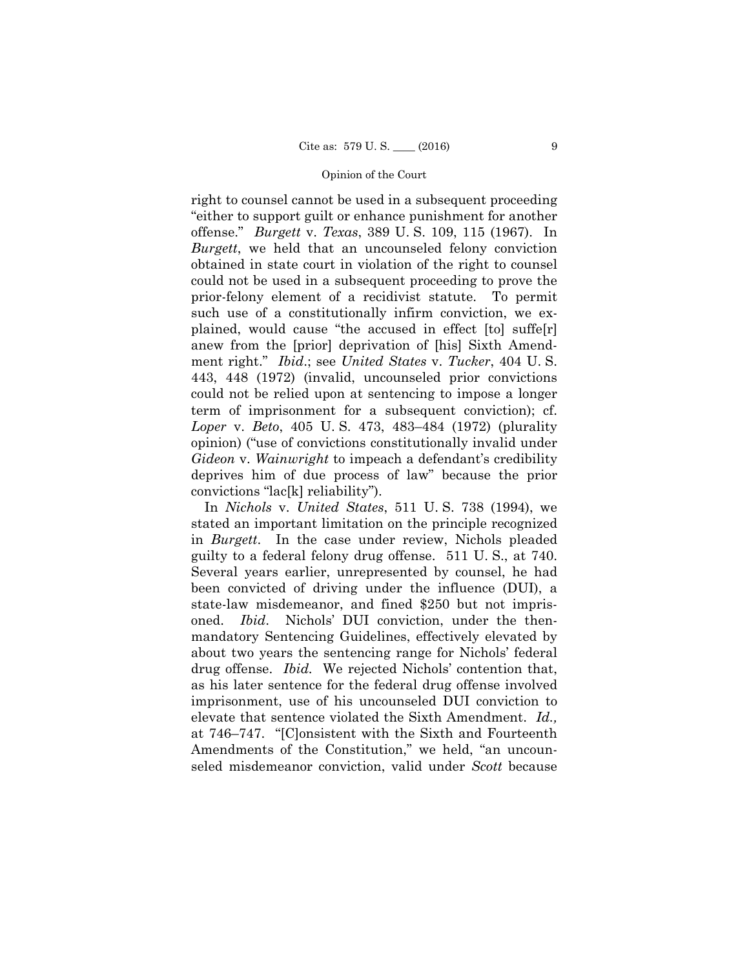right to counsel cannot be used in a subsequent proceeding "either to support guilt or enhance punishment for another offense." *Burgett* v. *Texas*, 389 U. S. 109, 115 (1967). In *Burgett*, we held that an uncounseled felony conviction obtained in state court in violation of the right to counsel could not be used in a subsequent proceeding to prove the prior-felony element of a recidivist statute. To permit such use of a constitutionally infirm conviction, we explained, would cause "the accused in effect [to] suffe[r] anew from the [prior] deprivation of [his] Sixth Amendment right." *Ibid*.; see *United States* v. *Tucker*, 404 U. S. 443, 448 (1972) (invalid, uncounseled prior convictions could not be relied upon at sentencing to impose a longer term of imprisonment for a subsequent conviction); cf. *Loper* v. *Beto*, 405 U. S. 473, 483–484 (1972) (plurality opinion) ("use of convictions constitutionally invalid under *Gideon* v. *Wainwright* to impeach a defendant's credibility deprives him of due process of law" because the prior convictions "lac[k] reliability").

In *Nichols* v. *United States*, 511 U. S. 738 (1994), we stated an important limitation on the principle recognized in *Burgett*. In the case under review, Nichols pleaded guilty to a federal felony drug offense. 511 U. S., at 740. Several years earlier, unrepresented by counsel, he had been convicted of driving under the influence (DUI), a state-law misdemeanor, and fined \$250 but not imprisoned. *Ibid*. Nichols' DUI conviction, under the thenmandatory Sentencing Guidelines, effectively elevated by about two years the sentencing range for Nichols' federal drug offense. *Ibid.* We rejected Nichols' contention that, as his later sentence for the federal drug offense involved imprisonment, use of his uncounseled DUI conviction to elevate that sentence violated the Sixth Amendment. *Id.,*  at 746–747. "[C]onsistent with the Sixth and Fourteenth Amendments of the Constitution," we held, "an uncounseled misdemeanor conviction, valid under *Scott* because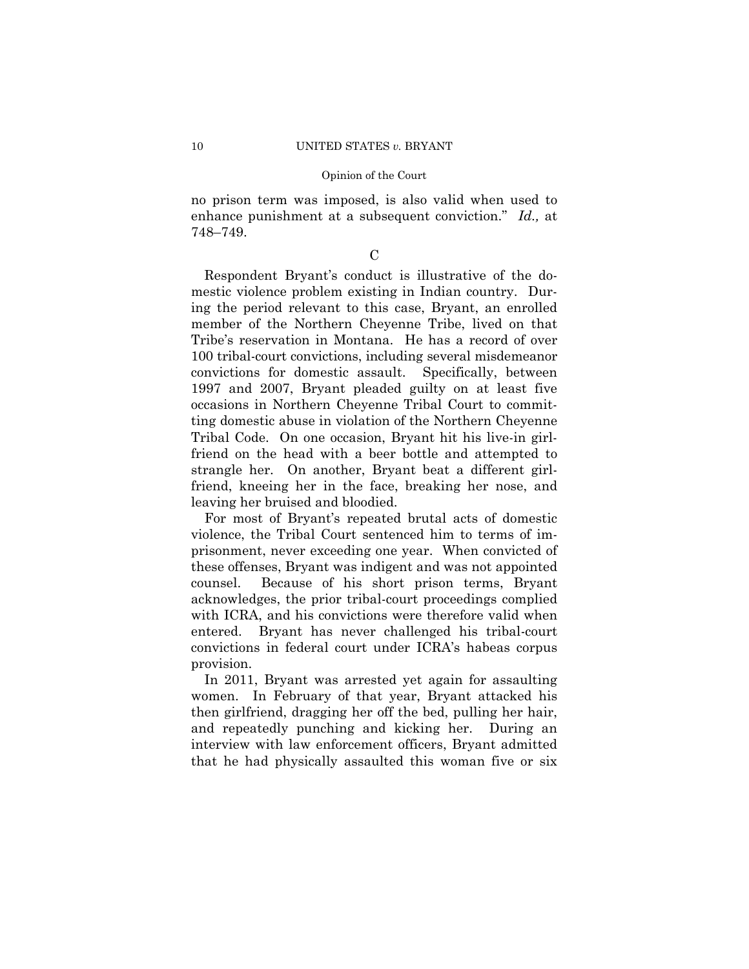no prison term was imposed, is also valid when used to enhance punishment at a subsequent conviction." *Id.,* at 748–749.

 $\mathcal{C}$ 

Respondent Bryant's conduct is illustrative of the domestic violence problem existing in Indian country. During the period relevant to this case, Bryant, an enrolled member of the Northern Cheyenne Tribe, lived on that Tribe's reservation in Montana. He has a record of over 100 tribal-court convictions, including several misdemeanor convictions for domestic assault. Specifically, between 1997 and 2007, Bryant pleaded guilty on at least five occasions in Northern Cheyenne Tribal Court to committing domestic abuse in violation of the Northern Cheyenne Tribal Code. On one occasion, Bryant hit his live-in girlfriend on the head with a beer bottle and attempted to strangle her. On another, Bryant beat a different girlfriend, kneeing her in the face, breaking her nose, and leaving her bruised and bloodied.

For most of Bryant's repeated brutal acts of domestic violence, the Tribal Court sentenced him to terms of imprisonment, never exceeding one year. When convicted of these offenses, Bryant was indigent and was not appointed counsel. Because of his short prison terms, Bryant acknowledges, the prior tribal-court proceedings complied with ICRA, and his convictions were therefore valid when entered. Bryant has never challenged his tribal-court convictions in federal court under ICRA's habeas corpus provision.

In 2011, Bryant was arrested yet again for assaulting women. In February of that year, Bryant attacked his then girlfriend, dragging her off the bed, pulling her hair, and repeatedly punching and kicking her. During an interview with law enforcement officers, Bryant admitted that he had physically assaulted this woman five or six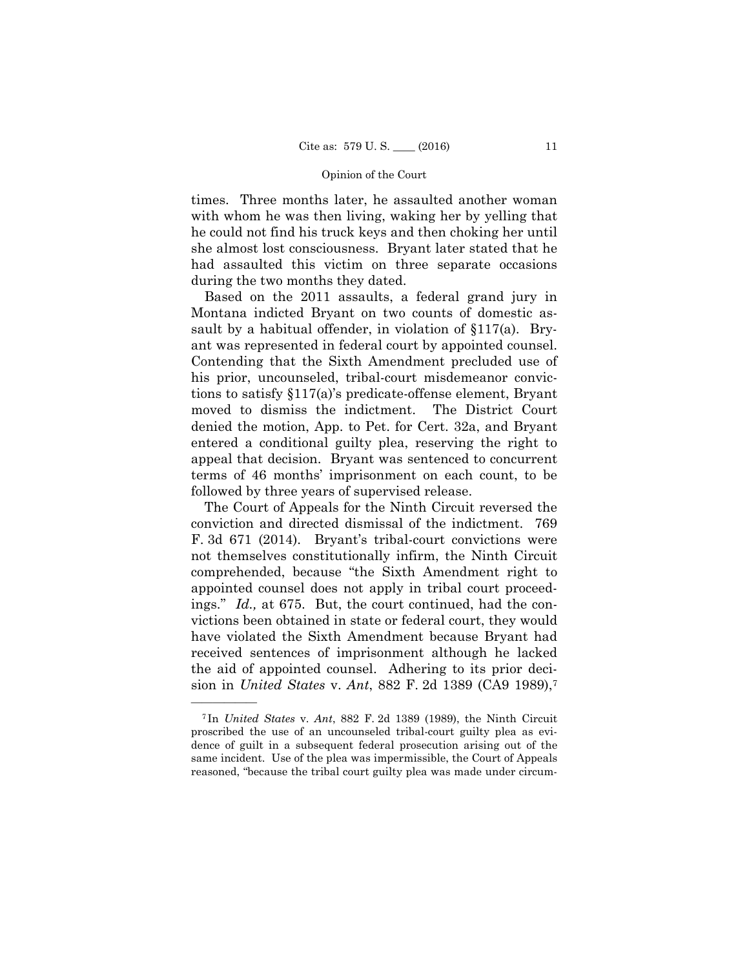times. Three months later, he assaulted another woman with whom he was then living, waking her by yelling that he could not find his truck keys and then choking her until she almost lost consciousness. Bryant later stated that he had assaulted this victim on three separate occasions during the two months they dated.

Based on the 2011 assaults, a federal grand jury in Montana indicted Bryant on two counts of domestic assault by a habitual offender, in violation of §117(a). Bryant was represented in federal court by appointed counsel. Contending that the Sixth Amendment precluded use of his prior, uncounseled, tribal-court misdemeanor convictions to satisfy §117(a)'s predicate-offense element, Bryant moved to dismiss the indictment. The District Court denied the motion, App. to Pet. for Cert. 32a, and Bryant entered a conditional guilty plea, reserving the right to appeal that decision. Bryant was sentenced to concurrent terms of 46 months' imprisonment on each count, to be followed by three years of supervised release.

The Court of Appeals for the Ninth Circuit reversed the conviction and directed dismissal of the indictment. 769 F. 3d 671 (2014). Bryant's tribal-court convictions were not themselves constitutionally infirm, the Ninth Circuit comprehended, because "the Sixth Amendment right to appointed counsel does not apply in tribal court proceedings." *Id.,* at 675. But, the court continued, had the convictions been obtained in state or federal court, they would have violated the Sixth Amendment because Bryant had received sentences of imprisonment although he lacked the aid of appointed counsel. Adhering to its prior decision in *United States* v. *Ant*, 882 F. 2d 1389 (CA9 1989),7

<sup>7</sup> In *United States* v. *Ant*, 882 F. 2d 1389 (1989), the Ninth Circuit proscribed the use of an uncounseled tribal-court guilty plea as evidence of guilt in a subsequent federal prosecution arising out of the same incident. Use of the plea was impermissible, the Court of Appeals reasoned, "because the tribal court guilty plea was made under circum-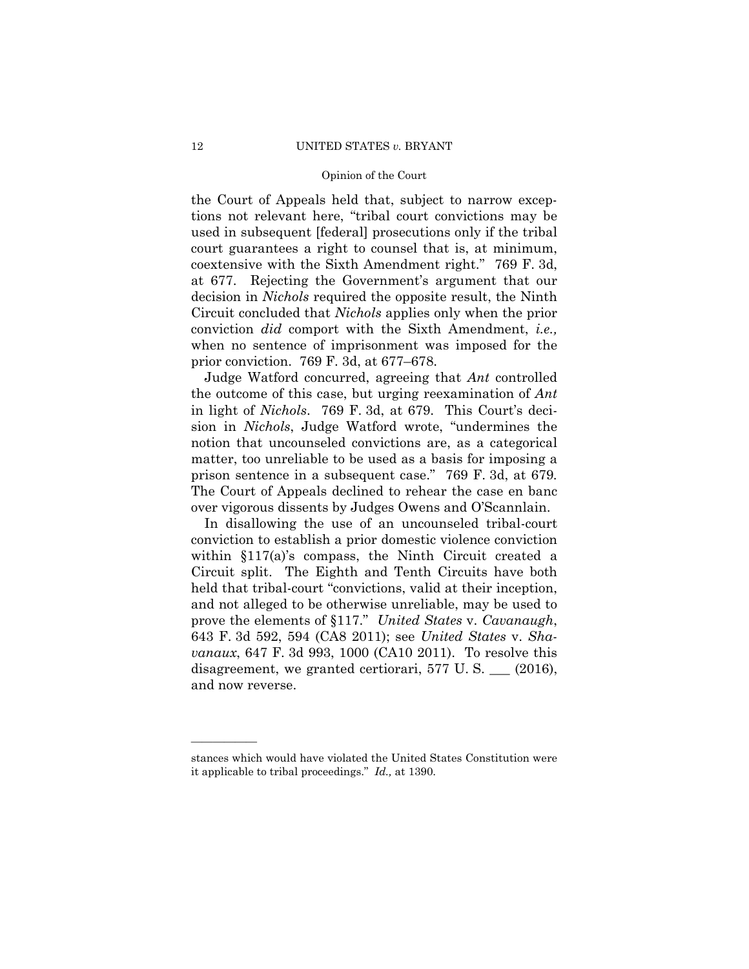the Court of Appeals held that, subject to narrow exceptions not relevant here, "tribal court convictions may be used in subsequent [federal] prosecutions only if the tribal court guarantees a right to counsel that is, at minimum, coextensive with the Sixth Amendment right." 769 F. 3d, at 677. Rejecting the Government's argument that our decision in *Nichols* required the opposite result, the Ninth Circuit concluded that *Nichols* applies only when the prior conviction *did* comport with the Sixth Amendment, *i.e.,*  when no sentence of imprisonment was imposed for the prior conviction. 769 F. 3d, at 677–678.

Judge Watford concurred, agreeing that *Ant* controlled the outcome of this case, but urging reexamination of *Ant*  in light of *Nichols*. 769 F. 3d, at 679. This Court's decision in *Nichols*, Judge Watford wrote, "undermines the notion that uncounseled convictions are, as a categorical matter, too unreliable to be used as a basis for imposing a prison sentence in a subsequent case." 769 F. 3d, at 679*.* The Court of Appeals declined to rehear the case en banc over vigorous dissents by Judges Owens and O'Scannlain.

In disallowing the use of an uncounseled tribal-court conviction to establish a prior domestic violence conviction within §117(a)'s compass, the Ninth Circuit created a Circuit split. The Eighth and Tenth Circuits have both held that tribal-court "convictions, valid at their inception, and not alleged to be otherwise unreliable, may be used to prove the elements of §117." *United States* v. *Cavanaugh*, 643 F. 3d 592, 594 (CA8 2011); see *United States* v. *Shavanaux*, 647 F. 3d 993, 1000 (CA10 2011). To resolve this disagreement, we granted certiorari, 577 U.S.  $\_\_$  (2016), and now reverse.

stances which would have violated the United States Constitution were it applicable to tribal proceedings." *Id.,* at 1390.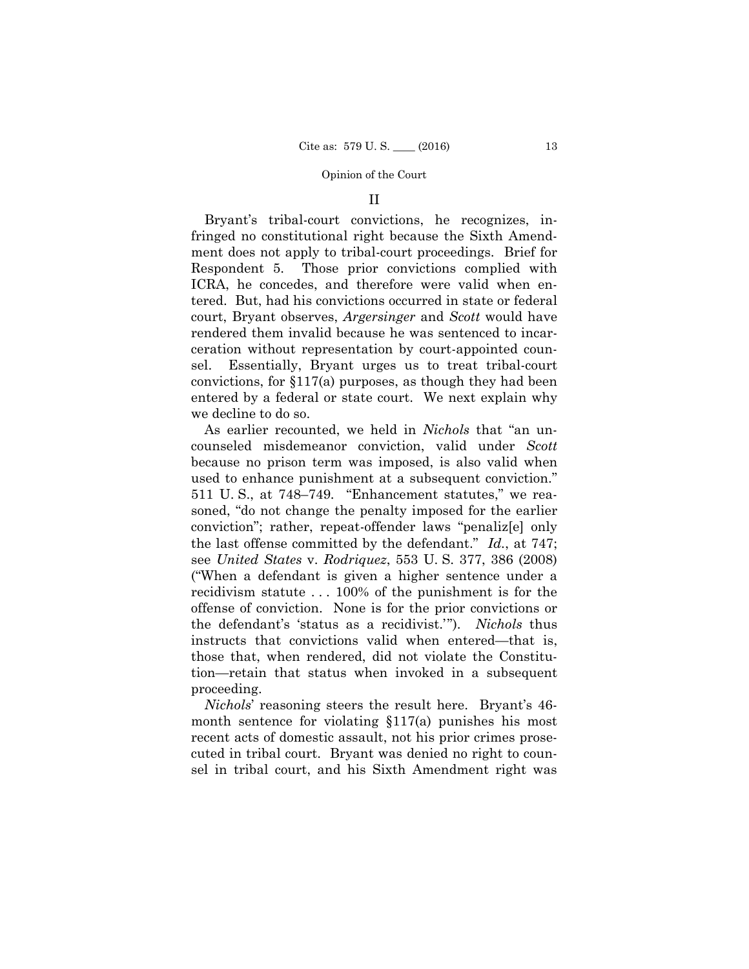### II

Bryant's tribal-court convictions, he recognizes, infringed no constitutional right because the Sixth Amendment does not apply to tribal-court proceedings. Brief for Respondent 5. Those prior convictions complied with ICRA, he concedes, and therefore were valid when entered. But, had his convictions occurred in state or federal court, Bryant observes, *Argersinger* and *Scott* would have rendered them invalid because he was sentenced to incarceration without representation by court-appointed counsel. Essentially, Bryant urges us to treat tribal-court convictions, for §117(a) purposes, as though they had been entered by a federal or state court. We next explain why we decline to do so.

As earlier recounted, we held in *Nichols* that "an uncounseled misdemeanor conviction, valid under *Scott*  because no prison term was imposed, is also valid when used to enhance punishment at a subsequent conviction." 511 U. S., at 748–749*.* "Enhancement statutes," we reasoned, "do not change the penalty imposed for the earlier conviction"; rather, repeat-offender laws "penaliz[e] only the last offense committed by the defendant." *Id.*, at 747; see *United States* v. *Rodriquez*, 553 U. S. 377, 386 (2008) ("When a defendant is given a higher sentence under a recidivism statute . . . 100% of the punishment is for the offense of conviction. None is for the prior convictions or the defendant's 'status as a recidivist.'"). *Nichols* thus instructs that convictions valid when entered—that is, those that, when rendered, did not violate the Constitution—retain that status when invoked in a subsequent proceeding.

*Nichols*' reasoning steers the result here. Bryant's 46 month sentence for violating §117(a) punishes his most recent acts of domestic assault, not his prior crimes prosecuted in tribal court. Bryant was denied no right to counsel in tribal court, and his Sixth Amendment right was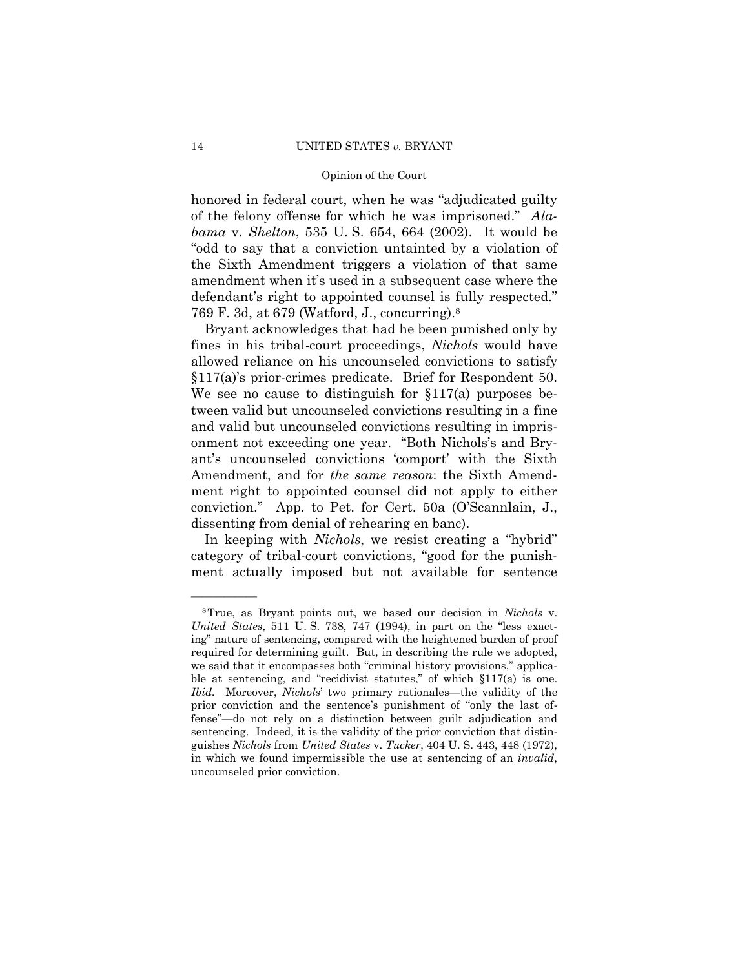honored in federal court, when he was "adjudicated guilty of the felony offense for which he was imprisoned." *Alabama* v. *Shelton*, 535 U. S. 654, 664 (2002). It would be "odd to say that a conviction untainted by a violation of the Sixth Amendment triggers a violation of that same amendment when it's used in a subsequent case where the defendant's right to appointed counsel is fully respected." 769 F. 3d, at 679 (Watford, J., concurring).8

Bryant acknowledges that had he been punished only by fines in his tribal-court proceedings, *Nichols* would have allowed reliance on his uncounseled convictions to satisfy §117(a)'s prior-crimes predicate. Brief for Respondent 50. We see no cause to distinguish for §117(a) purposes between valid but uncounseled convictions resulting in a fine and valid but uncounseled convictions resulting in imprisonment not exceeding one year. "Both Nichols's and Bryant's uncounseled convictions 'comport' with the Sixth Amendment, and for *the same reason*: the Sixth Amendment right to appointed counsel did not apply to either conviction." App. to Pet. for Cert. 50a (O'Scannlain, J., dissenting from denial of rehearing en banc).

In keeping with *Nichols*, we resist creating a "hybrid" category of tribal-court convictions, "good for the punishment actually imposed but not available for sentence

 ble at sentencing, and "recidivist statutes," of which §117(a) is one. 8True, as Bryant points out, we based our decision in *Nichols* v. *United States*, 511 U. S. 738, 747 (1994), in part on the "less exacting" nature of sentencing, compared with the heightened burden of proof required for determining guilt. But, in describing the rule we adopted, we said that it encompasses both "criminal history provisions," applica-*Ibid.* Moreover, *Nichols*' two primary rationales—the validity of the prior conviction and the sentence's punishment of "only the last offense"—do not rely on a distinction between guilt adjudication and sentencing. Indeed, it is the validity of the prior conviction that distinguishes *Nichols* from *United States* v. *Tucker*, 404 U. S. 443, 448 (1972), in which we found impermissible the use at sentencing of an *invalid*, uncounseled prior conviction.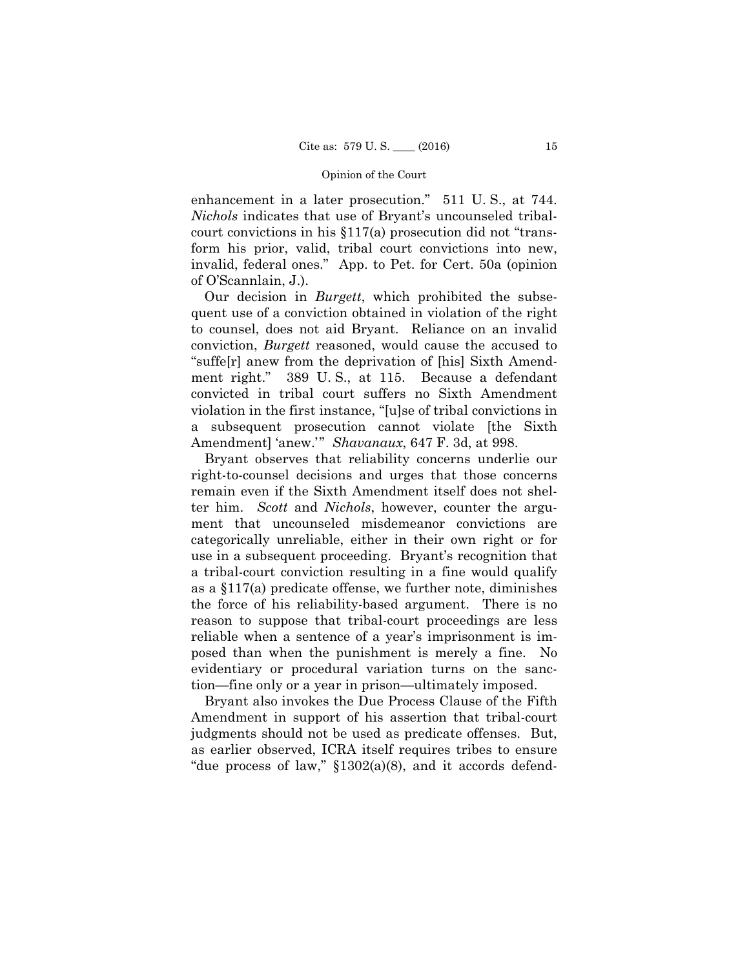enhancement in a later prosecution." 511 U. S., at 744. *Nichols* indicates that use of Bryant's uncounseled tribalcourt convictions in his §117(a) prosecution did not "transform his prior, valid, tribal court convictions into new, invalid, federal ones." App. to Pet. for Cert. 50a (opinion of O'Scannlain, J.).

Our decision in *Burgett*, which prohibited the subsequent use of a conviction obtained in violation of the right to counsel, does not aid Bryant. Reliance on an invalid conviction, *Burgett* reasoned, would cause the accused to "suffe[r] anew from the deprivation of [his] Sixth Amendment right." 389 U. S., at 115. Because a defendant convicted in tribal court suffers no Sixth Amendment violation in the first instance, "[u]se of tribal convictions in a subsequent prosecution cannot violate [the Sixth Amendment] 'anew.'" *Shavanaux*, 647 F. 3d, at 998.

Bryant observes that reliability concerns underlie our right-to-counsel decisions and urges that those concerns remain even if the Sixth Amendment itself does not shelter him. *Scott* and *Nichols*, however, counter the argument that uncounseled misdemeanor convictions are categorically unreliable, either in their own right or for use in a subsequent proceeding. Bryant's recognition that a tribal-court conviction resulting in a fine would qualify as a §117(a) predicate offense, we further note, diminishes the force of his reliability-based argument. There is no reason to suppose that tribal-court proceedings are less reliable when a sentence of a year's imprisonment is imposed than when the punishment is merely a fine. No evidentiary or procedural variation turns on the sanction—fine only or a year in prison—ultimately imposed.

Bryant also invokes the Due Process Clause of the Fifth Amendment in support of his assertion that tribal-court judgments should not be used as predicate offenses. But, as earlier observed, ICRA itself requires tribes to ensure "due process of law," §1302(a)(8), and it accords defend-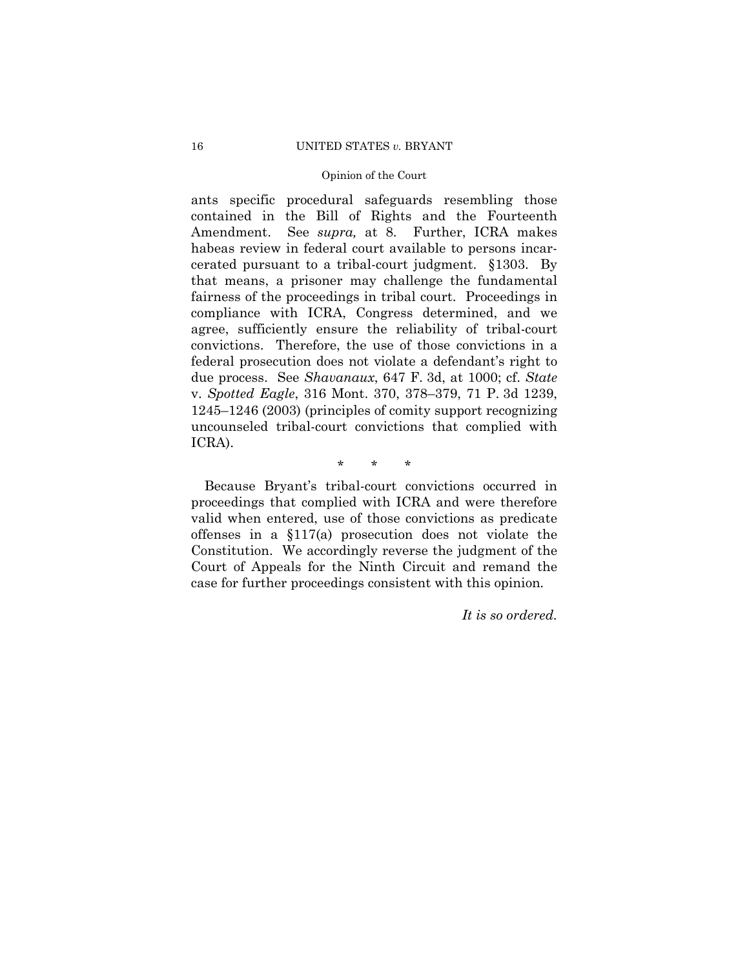#### 16 UNITED STATES *v.* BRYANT

# Opinion of the Court

ants specific procedural safeguards resembling those contained in the Bill of Rights and the Fourteenth Amendment. See *supra,* at 8. Further, ICRA makes habeas review in federal court available to persons incarcerated pursuant to a tribal-court judgment. §1303. By that means, a prisoner may challenge the fundamental fairness of the proceedings in tribal court. Proceedings in compliance with ICRA, Congress determined, and we agree, sufficiently ensure the reliability of tribal-court convictions. Therefore, the use of those convictions in a federal prosecution does not violate a defendant's right to due process. See *Shavanaux*, 647 F. 3d, at 1000; cf. *State*  v. *Spotted Eagle*, 316 Mont. 370, 378–379, 71 P. 3d 1239, 1245–1246 (2003) (principles of comity support recognizing uncounseled tribal-court convictions that complied with ICRA).

\* \* \*

Because Bryant's tribal-court convictions occurred in proceedings that complied with ICRA and were therefore valid when entered, use of those convictions as predicate offenses in a §117(a) prosecution does not violate the Constitution. We accordingly reverse the judgment of the Court of Appeals for the Ninth Circuit and remand the case for further proceedings consistent with this opinion*.* 

*It is so ordered.*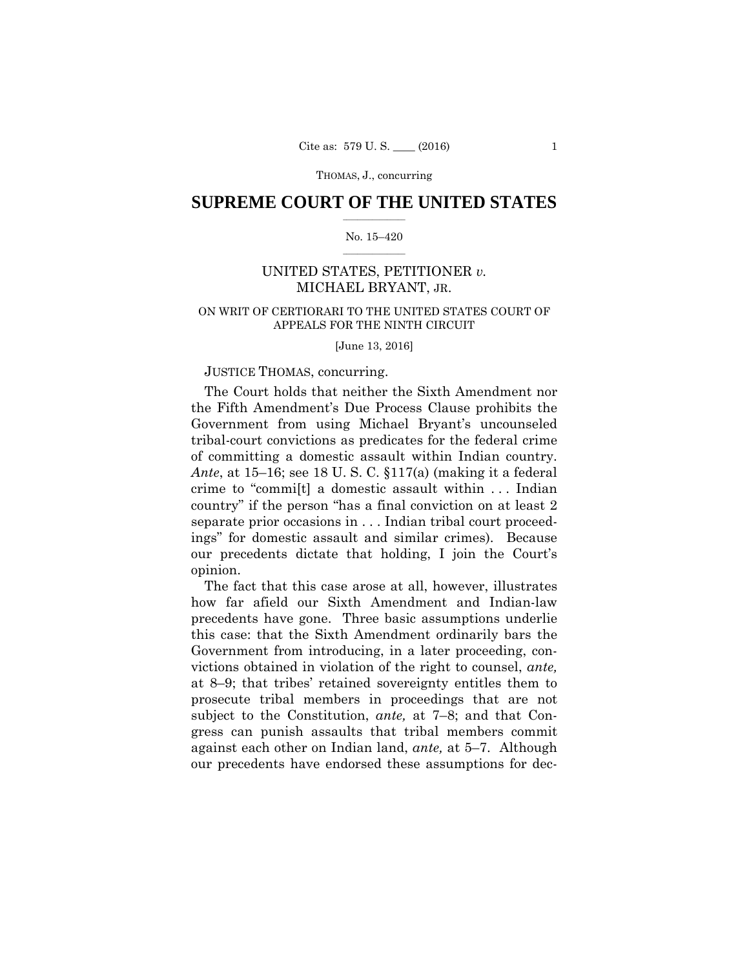# $\frac{1}{2}$  ,  $\frac{1}{2}$  ,  $\frac{1}{2}$  ,  $\frac{1}{2}$  ,  $\frac{1}{2}$  ,  $\frac{1}{2}$  ,  $\frac{1}{2}$ **SUPREME COURT OF THE UNITED STATES**

#### $\frac{1}{2}$  ,  $\frac{1}{2}$  ,  $\frac{1}{2}$  ,  $\frac{1}{2}$  ,  $\frac{1}{2}$  ,  $\frac{1}{2}$ No. 15–420

# UNITED STATES, PETITIONER *v.*  MICHAEL BRYANT, JR.

# ON WRIT OF CERTIORARI TO THE UNITED STATES COURT OF APPEALS FOR THE NINTH CIRCUIT

[June 13, 2016]

# JUSTICE THOMAS, concurring.

The Court holds that neither the Sixth Amendment nor the Fifth Amendment's Due Process Clause prohibits the Government from using Michael Bryant's uncounseled tribal-court convictions as predicates for the federal crime of committing a domestic assault within Indian country. *Ante*, at 15–16; see 18 U. S. C. §117(a) (making it a federal crime to "commi[t] a domestic assault within . . . Indian country" if the person "has a final conviction on at least 2 separate prior occasions in . . . Indian tribal court proceedings" for domestic assault and similar crimes). Because our precedents dictate that holding, I join the Court's opinion.

The fact that this case arose at all, however, illustrates how far afield our Sixth Amendment and Indian-law precedents have gone. Three basic assumptions underlie this case: that the Sixth Amendment ordinarily bars the Government from introducing, in a later proceeding, convictions obtained in violation of the right to counsel, *ante,*  at 8–9; that tribes' retained sovereignty entitles them to prosecute tribal members in proceedings that are not subject to the Constitution, *ante,* at 7–8; and that Congress can punish assaults that tribal members commit against each other on Indian land, *ante,* at 5–7. Although our precedents have endorsed these assumptions for dec-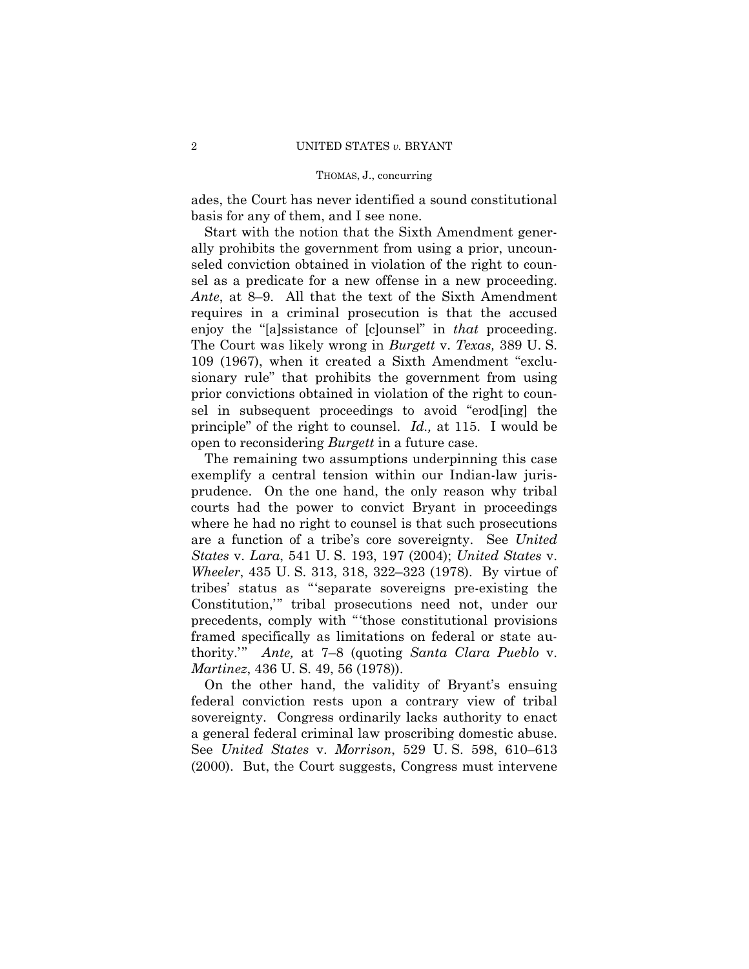ades, the Court has never identified a sound constitutional basis for any of them, and I see none.

Start with the notion that the Sixth Amendment generally prohibits the government from using a prior, uncounseled conviction obtained in violation of the right to counsel as a predicate for a new offense in a new proceeding. *Ante*, at 8–9. All that the text of the Sixth Amendment requires in a criminal prosecution is that the accused enjoy the "[a]ssistance of [c]ounsel" in *that* proceeding. The Court was likely wrong in *Burgett* v. *Texas,* 389 U. S. 109 (1967), when it created a Sixth Amendment "exclusionary rule" that prohibits the government from using prior convictions obtained in violation of the right to counsel in subsequent proceedings to avoid "erod[ing] the principle" of the right to counsel. *Id.,* at 115. I would be open to reconsidering *Burgett* in a future case.

The remaining two assumptions underpinning this case exemplify a central tension within our Indian-law jurisprudence. On the one hand, the only reason why tribal courts had the power to convict Bryant in proceedings where he had no right to counsel is that such prosecutions are a function of a tribe's core sovereignty. See *United States* v. *Lara*, 541 U. S. 193, 197 (2004); *United States* v. *Wheeler*, 435 U. S. 313, 318, 322–323 (1978). By virtue of tribes' status as "'separate sovereigns pre-existing the Constitution,'" tribal prosecutions need not, under our precedents, comply with "'those constitutional provisions framed specifically as limitations on federal or state authority.'" *Ante,* at 7–8 (quoting *Santa Clara Pueblo* v. *Martinez*, 436 U. S. 49, 56 (1978)).

On the other hand, the validity of Bryant's ensuing federal conviction rests upon a contrary view of tribal sovereignty. Congress ordinarily lacks authority to enact a general federal criminal law proscribing domestic abuse. See *United States* v. *Morrison*, 529 U. S. 598, 610–613 (2000). But, the Court suggests, Congress must intervene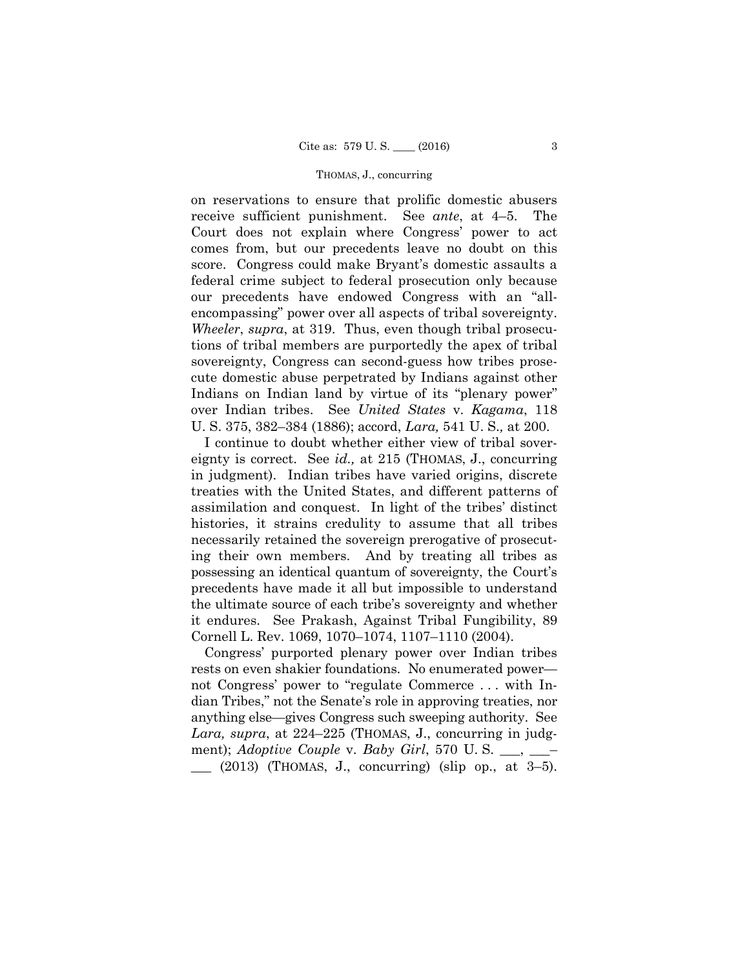on reservations to ensure that prolific domestic abusers receive sufficient punishment. See *ante*, at 4–5. The Court does not explain where Congress' power to act comes from, but our precedents leave no doubt on this score. Congress could make Bryant's domestic assaults a federal crime subject to federal prosecution only because our precedents have endowed Congress with an "allencompassing" power over all aspects of tribal sovereignty. *Wheeler*, *supra*, at 319. Thus, even though tribal prosecutions of tribal members are purportedly the apex of tribal sovereignty, Congress can second-guess how tribes prosecute domestic abuse perpetrated by Indians against other Indians on Indian land by virtue of its "plenary power" over Indian tribes. See *United States* v. *Kagama*, 118 U. S. 375, 382–384 (1886); accord, *Lara,* 541 U. S.*,* at 200.

 ing their own members. And by treating all tribes as possessing an identical quantum of sovereignty, the Court's I continue to doubt whether either view of tribal sovereignty is correct. See *id.,* at 215 (THOMAS, J., concurring in judgment). Indian tribes have varied origins, discrete treaties with the United States, and different patterns of assimilation and conquest. In light of the tribes' distinct histories, it strains credulity to assume that all tribes necessarily retained the sovereign prerogative of prosecutprecedents have made it all but impossible to understand the ultimate source of each tribe's sovereignty and whether it endures. See Prakash, Against Tribal Fungibility, 89 Cornell L. Rev. 1069, 1070–1074, 1107–1110 (2004).

 dian Tribes," not the Senate's role in approving treaties, nor anything else—gives Congress such sweeping authority. See Congress' purported plenary power over Indian tribes rests on even shakier foundations. No enumerated power not Congress' power to "regulate Commerce . . . with In-*Lara, supra*, at 224–225 (THOMAS, J., concurring in judgment); *Adoptive Couple* v. *Baby Girl*, 570 U.S. \_\_, \_\_\_  $\_\_$  (2013) (THOMAS, J., concurring) (slip op., at 3–5).